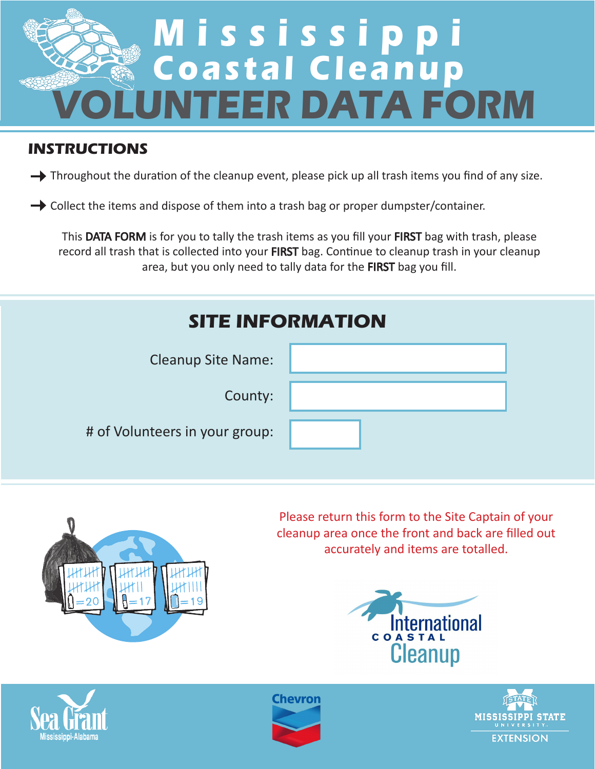

## **INSTRUCTIONS**

Throughout the duration of the cleanup event, please pick up all trash items you find of any size.

 $\rightarrow$  Collect the items and dispose of them into a trash bag or proper dumpster/container.

This DATA FORM is for you to tally the trash items as you fill your FIRST bag with trash, please record all trash that is collected into your FIRST bag. Continue to cleanup trash in your cleanup area, but you only need to tally data for the FIRST bag you fill.

| <b>SITE INFORMATION</b>        |  |  |  |
|--------------------------------|--|--|--|
| <b>Cleanup Site Name:</b>      |  |  |  |
| County:                        |  |  |  |
| # of Volunteers in your group: |  |  |  |
|                                |  |  |  |



Please return this form to the Site Captain of your cleanup area once the front and back are filled out accurately and items are totalled.